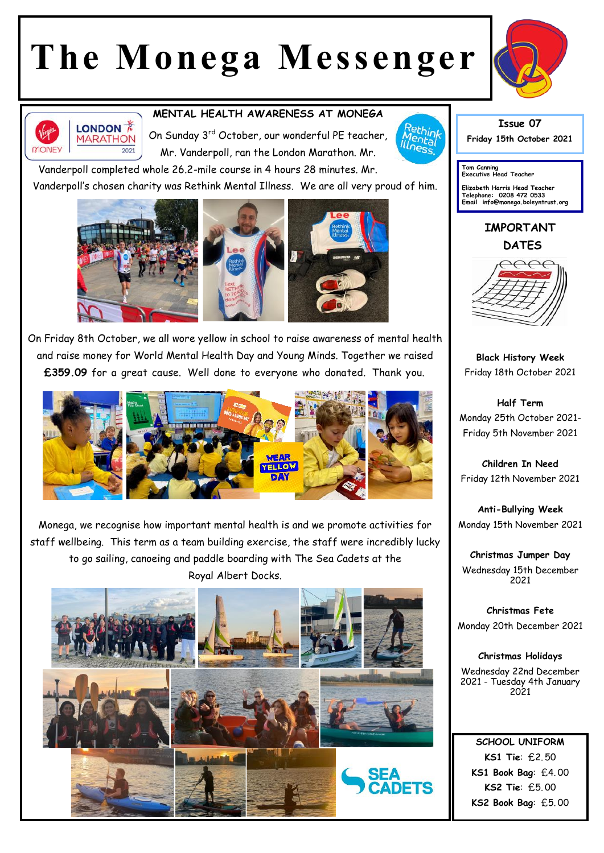## **The Monega Messenger**





## **MENTAL HEALTH AWARENESS AT MONEGA**

On Sunday 3rd October, our wonderful PE teacher, Mr. Vanderpoll, ran the London Marathon. Mr.

Vanderpoll completed whole 26.2-mile course in 4 hours 28 minutes. Mr.

Vanderpoll's chosen charity was Rethink Mental Illness. We are all very proud of him.



On Friday 8th October, we all wore yellow in school to raise awareness of mental health and raise money for World Mental Health Day and Young Minds. Together we raised **£359.09** for a great cause. Well done to everyone who donated. Thank you.



Monega, we recognise how important mental health is and we promote activities for staff wellbeing. This term as a team building exercise, the staff were incredibly lucky to go sailing, canoeing and paddle boarding with The Sea Cadets at the Royal Albert Docks.





**Issue 07 Friday 15th October 2021** 

**Tom Canning Executive Head Teacher**

**Elizabeth Harris Head Teacher Telephone: 0208 472 0533 Email info@monega.boleyntrust.org** 

**IMPORTANT DATES**



**Black History Week** Friday 18th October 2021

**Half Term** Monday 25th October 2021- Friday 5th November 2021

**Children In Need** Friday 12th November 2021

**Anti-Bullying Week** Monday 15th November 2021

**Christmas Jumper Day** Wednesday 15th December 2021

**Christmas Fete** Monday 20th December 2021

**Christmas Holidays** Wednesday 22nd December 2021 - Tuesday 4th January 2021

**SCHOOL UNIFORM KS1 Tie**: £2. 50 **KS1 Book Bag**: £4. 00 **KS2 Tie**: £5. 00 **KS2 Book Bag**: £5. 00